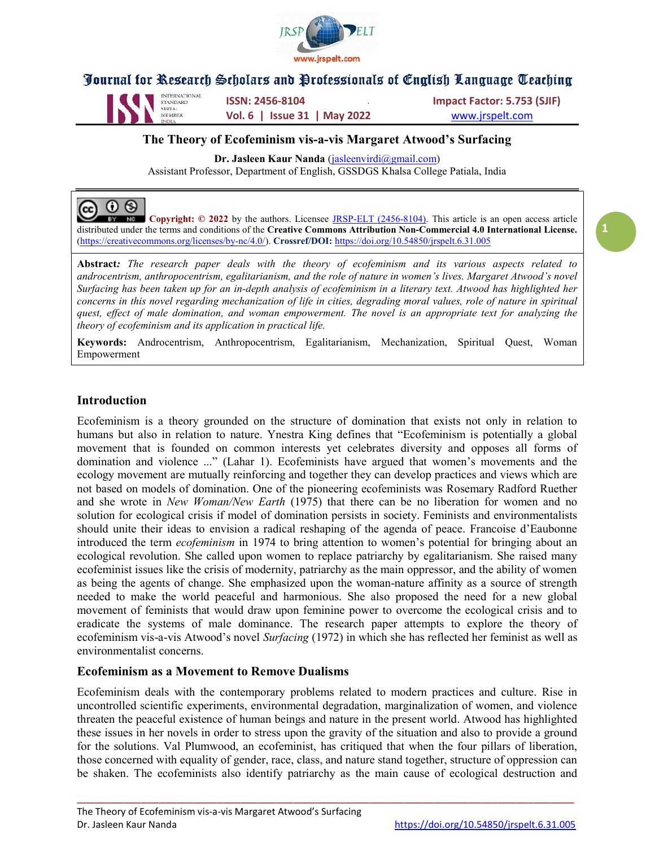



NUMBER **Vol. 6 | Issue 31 | May 2022** WWW.jrspelt.com

INTERNATIONAL **ISSN: 2456-8104** ISSN: 2456-8104 Impact Factor: 5.753 (SJIF)

1

### The Theory of Ecofeminism vis-a-vis Margaret Atwood's Surfacing

Dr. Jasleen Kaur Nanda (jasleenvirdi@gmail.com)

Assistant Professor, Department of English, GSSDGS Khalsa College Patiala, India

#### ©.  $\odot$   $\odot$

**No. Copyright:**  $\odot$  2022 by the authors. Licensee JRSP-ELT (2456-8104). This article is an open access article distributed under the terms and conditions of the Creative Commons Attribution Non-Commercial 4.0 International License. (https://creativecommons.org/licenses/by-nc/4.0/). Crossref/DOI: https://doi.org/10.54850/jrspelt.6.31.005

Abstract: The research paper deals with the theory of ecofeminism and its various aspects related to androcentrism, anthropocentrism, egalitarianism, and the role of nature in women's lives. Margaret Atwood's novel Surfacing has been taken up for an in-depth analysis of ecofeminism in a literary text. Atwood has highlighted her concerns in this novel regarding mechanization of life in cities, degrading moral values, role of nature in spiritual quest, effect of male domination, and woman empowerment. The novel is an appropriate text for analyzing the theory of ecofeminism and its application in practical life.

Keywords: Androcentrism, Anthropocentrism, Egalitarianism, Mechanization, Spiritual Quest, Woman Empowerment

### Introduction

Ecofeminism is a theory grounded on the structure of domination that exists not only in relation to humans but also in relation to nature. Ynestra King defines that "Ecofeminism is potentially a global movement that is founded on common interests yet celebrates diversity and opposes all forms of domination and violence ..." (Lahar 1). Ecofeminists have argued that women's movements and the ecology movement are mutually reinforcing and together they can develop practices and views which are not based on models of domination. One of the pioneering ecofeminists was Rosemary Radford Ruether and she wrote in New Woman/New Earth (1975) that there can be no liberation for women and no solution for ecological crisis if model of domination persists in society. Feminists and environmentalists should unite their ideas to envision a radical reshaping of the agenda of peace. Francoise d'Eaubonne introduced the term ecofeminism in 1974 to bring attention to women's potential for bringing about an ecological revolution. She called upon women to replace patriarchy by egalitarianism. She raised many ecofeminist issues like the crisis of modernity, patriarchy as the main oppressor, and the ability of women as being the agents of change. She emphasized upon the woman-nature affinity as a source of strength needed to make the world peaceful and harmonious. She also proposed the need for a new global movement of feminists that would draw upon feminine power to overcome the ecological crisis and to eradicate the systems of male dominance. The research paper attempts to explore the theory of ecofeminism vis-a-vis Atwood's novel Surfacing (1972) in which she has reflected her feminist as well as environmentalist concerns.

#### Ecofeminism as a Movement to Remove Dualisms

Ecofeminism deals with the contemporary problems related to modern practices and culture. Rise in uncontrolled scientific experiments, environmental degradation, marginalization of women, and violence threaten the peaceful existence of human beings and nature in the present world. Atwood has highlighted these issues in her novels in order to stress upon the gravity of the situation and also to provide a ground for the solutions. Val Plumwood, an ecofeminist, has critiqued that when the four pillars of liberation, those concerned with equality of gender, race, class, and nature stand together, structure of oppression can be shaken. The ecofeminists also identify patriarchy as the main cause of ecological destruction and

\_\_\_\_\_\_\_\_\_\_\_\_\_\_\_\_\_\_\_\_\_\_\_\_\_\_\_\_\_\_\_\_\_\_\_\_\_\_\_\_\_\_\_\_\_\_\_\_\_\_\_\_\_\_\_\_\_\_\_\_\_\_\_\_\_\_\_\_\_\_\_\_\_\_\_\_\_\_\_\_\_\_\_\_\_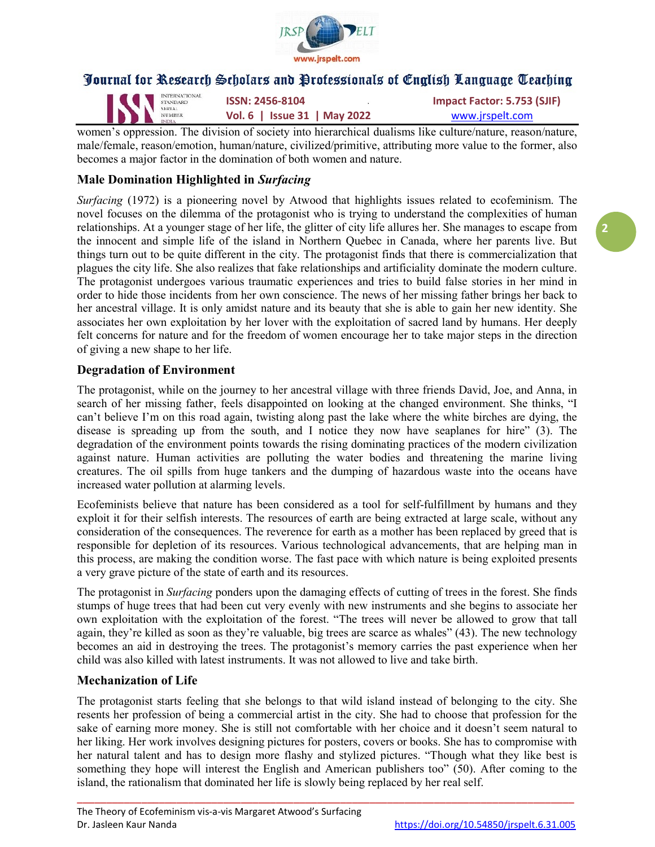

| IN STANDARD | <b>INTERNATIONAL</b> | <b>ISSN: 2456-8104</b>       | Impact Factor: 5.753 (SJIF) |
|-------------|----------------------|------------------------------|-----------------------------|
|             |                      | Vol. 6   Issue 31   May 2022 | www.jrspelt.com             |

women's oppression. The division of society into hierarchical dualisms like culture/nature, reason/nature, male/female, reason/emotion, human/nature, civilized/primitive, attributing more value to the former, also becomes a major factor in the domination of both women and nature.

## Male Domination Highlighted in Surfacing

Surfacing (1972) is a pioneering novel by Atwood that highlights issues related to ecofeminism. The novel focuses on the dilemma of the protagonist who is trying to understand the complexities of human relationships. At a younger stage of her life, the glitter of city life allures her. She manages to escape from the innocent and simple life of the island in Northern Quebec in Canada, where her parents live. But things turn out to be quite different in the city. The protagonist finds that there is commercialization that plagues the city life. She also realizes that fake relationships and artificiality dominate the modern culture. The protagonist undergoes various traumatic experiences and tries to build false stories in her mind in order to hide those incidents from her own conscience. The news of her missing father brings her back to her ancestral village. It is only amidst nature and its beauty that she is able to gain her new identity. She associates her own exploitation by her lover with the exploitation of sacred land by humans. Her deeply felt concerns for nature and for the freedom of women encourage her to take major steps in the direction of giving a new shape to her life.

### Degradation of Environment

The protagonist, while on the journey to her ancestral village with three friends David, Joe, and Anna, in search of her missing father, feels disappointed on looking at the changed environment. She thinks, "I can't believe I'm on this road again, twisting along past the lake where the white birches are dying, the disease is spreading up from the south, and I notice they now have seaplanes for hire" (3). The degradation of the environment points towards the rising dominating practices of the modern civilization against nature. Human activities are polluting the water bodies and threatening the marine living creatures. The oil spills from huge tankers and the dumping of hazardous waste into the oceans have increased water pollution at alarming levels.

Ecofeminists believe that nature has been considered as a tool for self-fulfillment by humans and they exploit it for their selfish interests. The resources of earth are being extracted at large scale, without any consideration of the consequences. The reverence for earth as a mother has been replaced by greed that is responsible for depletion of its resources. Various technological advancements, that are helping man in this process, are making the condition worse. The fast pace with which nature is being exploited presents a very grave picture of the state of earth and its resources.

The protagonist in *Surfacing* ponders upon the damaging effects of cutting of trees in the forest. She finds stumps of huge trees that had been cut very evenly with new instruments and she begins to associate her own exploitation with the exploitation of the forest. "The trees will never be allowed to grow that tall again, they're killed as soon as they're valuable, big trees are scarce as whales" (43). The new technology becomes an aid in destroying the trees. The protagonist's memory carries the past experience when her child was also killed with latest instruments. It was not allowed to live and take birth.

### Mechanization of Life

The protagonist starts feeling that she belongs to that wild island instead of belonging to the city. She resents her profession of being a commercial artist in the city. She had to choose that profession for the sake of earning more money. She is still not comfortable with her choice and it doesn't seem natural to her liking. Her work involves designing pictures for posters, covers or books. She has to compromise with her natural talent and has to design more flashy and stylized pictures. "Though what they like best is something they hope will interest the English and American publishers too" (50). After coming to the island, the rationalism that dominated her life is slowly being replaced by her real self.

\_\_\_\_\_\_\_\_\_\_\_\_\_\_\_\_\_\_\_\_\_\_\_\_\_\_\_\_\_\_\_\_\_\_\_\_\_\_\_\_\_\_\_\_\_\_\_\_\_\_\_\_\_\_\_\_\_\_\_\_\_\_\_\_\_\_\_\_\_\_\_\_\_\_\_\_\_\_\_\_\_\_\_\_\_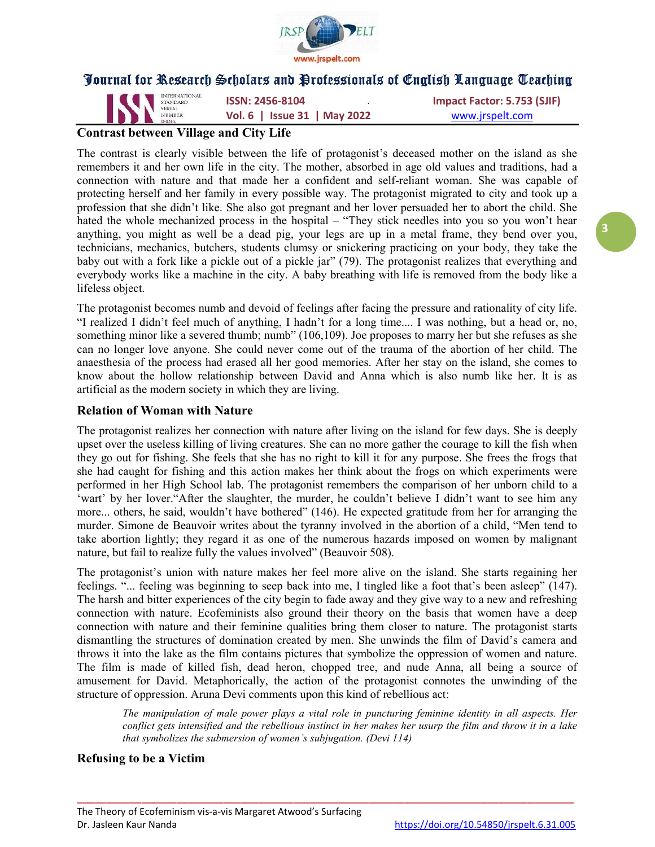

INTERNATIONAL **ISSN: 2456-8104 Impact Factor: 5.753 (SJIF)**<br>
SERIAL **ISSN: 2456-8104 Impact Factor: 5.753 (SJIF)** Vol. 6 | Issue 31 | May 2022 www.jrspelt.com

# Contrast between Village and City Life

The contrast is clearly visible between the life of protagonist's deceased mother on the island as she remembers it and her own life in the city. The mother, absorbed in age old values and traditions, had a connection with nature and that made her a confident and self-reliant woman. She was capable of protecting herself and her family in every possible way. The protagonist migrated to city and took up a profession that she didn't like. She also got pregnant and her lover persuaded her to abort the child. She hated the whole mechanized process in the hospital – "They stick needles into you so you won't hear anything, you might as well be a dead pig, your legs are up in a metal frame, they bend over you, technicians, mechanics, butchers, students clumsy or snickering practicing on your body, they take the baby out with a fork like a pickle out of a pickle jar" (79). The protagonist realizes that everything and everybody works like a machine in the city. A baby breathing with life is removed from the body like a lifeless object.

The protagonist becomes numb and devoid of feelings after facing the pressure and rationality of city life. "I realized I didn't feel much of anything, I hadn't for a long time.... I was nothing, but a head or, no, something minor like a severed thumb; numb" (106,109). Joe proposes to marry her but she refuses as she can no longer love anyone. She could never come out of the trauma of the abortion of her child. The anaesthesia of the process had erased all her good memories. After her stay on the island, she comes to know about the hollow relationship between David and Anna which is also numb like her. It is as artificial as the modern society in which they are living.

### Relation of Woman with Nature

The protagonist realizes her connection with nature after living on the island for few days. She is deeply upset over the useless killing of living creatures. She can no more gather the courage to kill the fish when they go out for fishing. She feels that she has no right to kill it for any purpose. She frees the frogs that she had caught for fishing and this action makes her think about the frogs on which experiments were performed in her High School lab. The protagonist remembers the comparison of her unborn child to a 'wart' by her lover."After the slaughter, the murder, he couldn't believe I didn't want to see him any more... others, he said, wouldn't have bothered" (146). He expected gratitude from her for arranging the murder. Simone de Beauvoir writes about the tyranny involved in the abortion of a child, "Men tend to take abortion lightly; they regard it as one of the numerous hazards imposed on women by malignant nature, but fail to realize fully the values involved" (Beauvoir 508).

The protagonist's union with nature makes her feel more alive on the island. She starts regaining her feelings. "... feeling was beginning to seep back into me, I tingled like a foot that's been asleep" (147). The harsh and bitter experiences of the city begin to fade away and they give way to a new and refreshing connection with nature. Ecofeminists also ground their theory on the basis that women have a deep connection with nature and their feminine qualities bring them closer to nature. The protagonist starts dismantling the structures of domination created by men. She unwinds the film of David's camera and throws it into the lake as the film contains pictures that symbolize the oppression of women and nature. The film is made of killed fish, dead heron, chopped tree, and nude Anna, all being a source of amusement for David. Metaphorically, the action of the protagonist connotes the unwinding of the structure of oppression. Aruna Devi comments upon this kind of rebellious act:

\_\_\_\_\_\_\_\_\_\_\_\_\_\_\_\_\_\_\_\_\_\_\_\_\_\_\_\_\_\_\_\_\_\_\_\_\_\_\_\_\_\_\_\_\_\_\_\_\_\_\_\_\_\_\_\_\_\_\_\_\_\_\_\_\_\_\_\_\_\_\_\_\_\_\_\_\_\_\_\_\_\_\_\_\_

The manipulation of male power plays a vital role in puncturing feminine identity in all aspects. Her conflict gets intensified and the rebellious instinct in her makes her usurp the film and throw it in a lake that symbolizes the submersion of women's subjugation. (Devi 114)

### Refusing to be a Victim